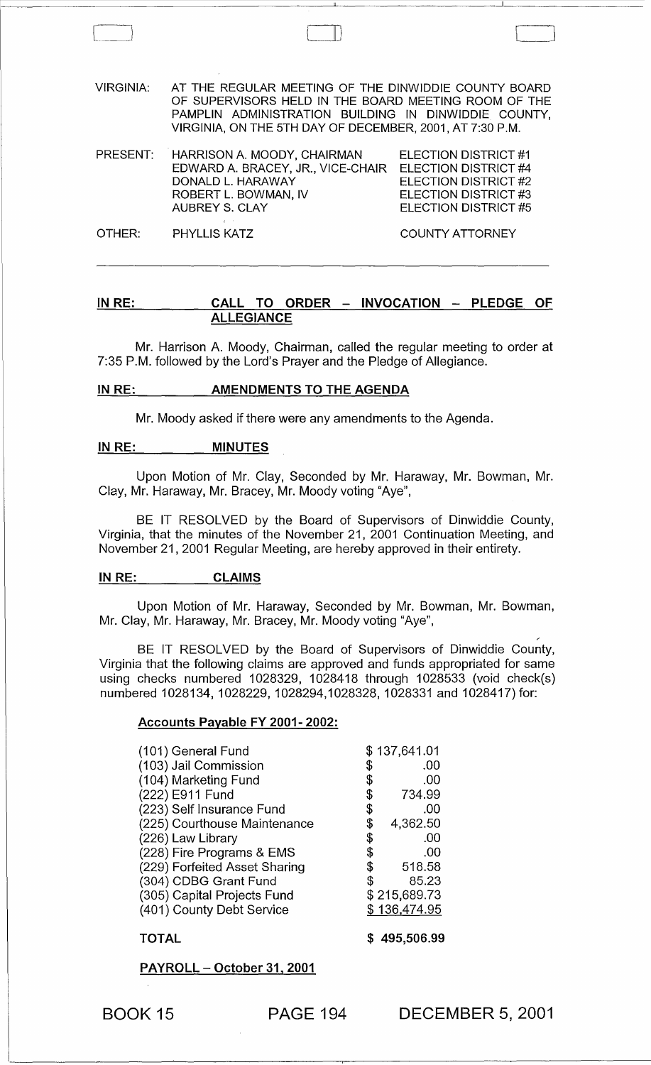VIRGINIA: AT THE REGULAR MEETING OF THE DINWIDDIE COUNTY BOARD OF SUPERVISORS HELD IN THE BOARD MEETING ROOM OF THE PAMPLIN ADMINISTRATION BUILDING IN DINWIDDIE COUNTY, VIRGINIA, ON THE 5TH DAY OF DECEMBER, 2001, AT 7:30 P.M.

 $\Box$ 

| PRESENT: HARRISON A. MOODY, CHAIRMAN | ELECTION DISTRICT #1        |
|--------------------------------------|-----------------------------|
| EDWARD A. BRACEY, JR., VICE-CHAIR    | <b>ELECTION DISTRICT #4</b> |
| DONALD L. HARAWAY                    | ELECTION DISTRICT #2        |
| ROBERT L. BOWMAN, IV                 | ELECTION DISTRICT #3        |
| AUBREY S. CLAY                       | ELECTION DISTRICT #5        |
|                                      |                             |

OTHER: PHYLLIS KATZ COUNTY ATTORNEY

## IN RE: CALL TO ORDER - INVOCATION - PLEDGE OF **ALLEGIANCE**

Mr. Harrison A. Moody, Chairman, called the regular meeting to order at 7:35 P.M. followed by the Lord's Prayer and the Pledge of Allegiance.

### IN RE: AMENDMENTS TO THE AGENDA

Mr. Moody asked if there were any amendments to the Agenda.

#### IN RE: MINUTES

Upon Motion of Mr. Clay, Seconded by Mr. Haraway, Mr. Bowman, Mr. Clay, Mr. Haraway, Mr. Bracey, Mr. Moody voting "Aye",

BE IT RESOLVED by the Board of Supervisors of Dinwiddie County, Virginia, that the minutes of the November 21, 2001 Continuation Meeting, and November 21,2001 Regular Meeting, are hereby approved in their entirety.

#### IN RE: CLAIMS

Upon Motion of Mr. Haraway, Seconded by Mr. Bowman, Mr. Bowman, Mr. Clay, Mr. Haraway, Mr. Bracey, Mr. Moody voting "Aye",

BE IT RESOLVED by the Board of Supervisors of Dinwiddie County, Virginia that the following claims are approved and funds appropriated for same using checks numbered 1028329, 1028418 through 1028533 (void check(s) numbered 1028134, 1028229, 1028294,1028328, 1028331 and 1028417) for:

#### Accounts Payable FY 2001- 2002:

| (101) General Fund            | \$137,641.01   |
|-------------------------------|----------------|
| (103) Jail Commission         | \$<br>.00      |
| (104) Marketing Fund          | \$<br>.00      |
| (222) E911 Fund               | \$<br>734.99   |
| (223) Self Insurance Fund     | \$<br>.00      |
| (225) Courthouse Maintenance  | \$<br>4,362.50 |
| (226) Law Library             | \$<br>.00      |
| (228) Fire Programs & EMS     | \$<br>.00      |
| (229) Forfeited Asset Sharing | \$<br>518.58   |
| (304) CDBG Grant Fund         | \$<br>85.23    |
| (305) Capital Projects Fund   | \$215,689.73   |
| (401) County Debt Service     | \$136,474.95   |
|                               |                |

#### TOTAL

\$ 495,506.99

PAYROLL - October 31, 2001

BOOK 15 PAGE 194

DECEMBER 5, 2001

,-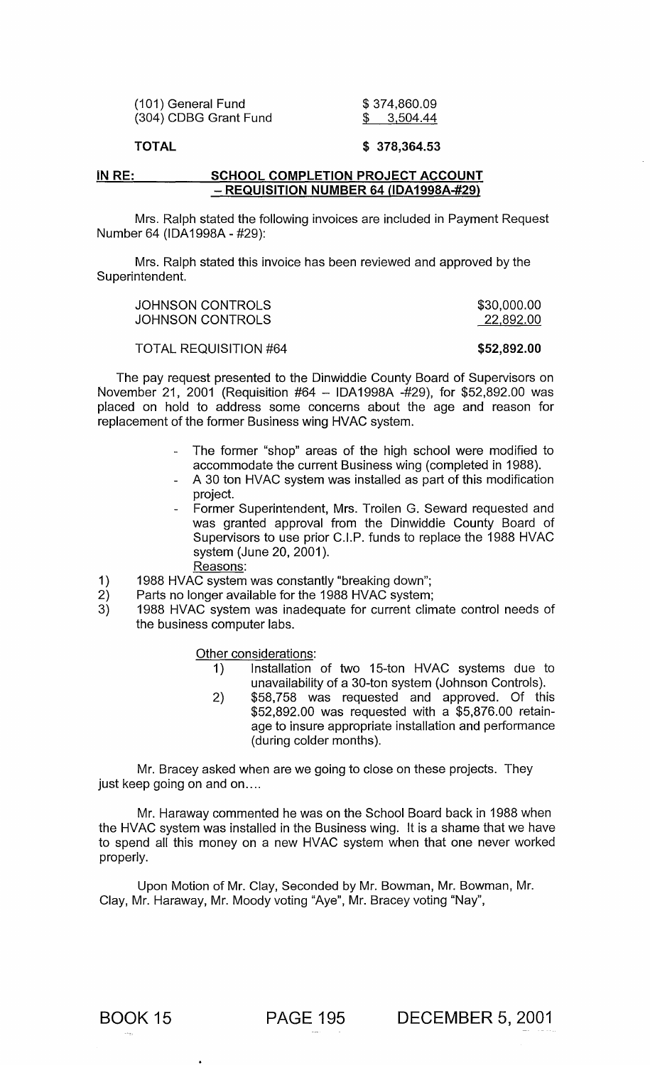| (101) General Fund    |  |
|-----------------------|--|
| (304) CDBG Grant Fund |  |

\$ 374,860.09 \$ 3,504.44

## TOTAL

### \$ 378,364.53

#### IN RE: SCHOOL COMPLETION PROJECT ACCOUNT - REQUISITION NUMBER 64 (IDA1998A-#29)

Mrs. Ralph stated the following invoices are included in Payment Request Number 64 (IDA1998A - #29):

Mrs. Ralph stated this invoice has been reviewed and approved by the Superintendent.

| JOHNSON CONTROLS | \$30,000.00 |
|------------------|-------------|
| JOHNSON CONTROLS | 22,892.00   |

TOTAL REQUISITION #64 \$52,892.00

The pay request presented to the Dinwiddie County Board of Supervisors on November 21, 2001 (Requisition #64 - IDA1998A -#29), for \$52,892.00 was placed on hold to address some concerns about the age and reason for replacement of the former Business wing HVAC system.

- The former "shop" areas of the high school were modified to accommodate the current Business wing (completed in 1988).
- A 30 ton HVAC system was installed as part of this modification project.
- Former Superintendent, Mrs. Troilen G. Seward requested and was granted approval from the Dinwiddie County Board of Supervisors to use prior C.I.P. funds to replace the 1988 HVAC system (June 20, 2001).
	- Reasons:
- 1) 1988 HVAC system was constantly "breaking down";<br>2) Parts no longer available for the 1988 HVAC system;
- Parts no longer available for the 1988 HVAC system;
- 3) 1988 HVAC system was inadequate for current climate control needs of the business computer labs.

Other considerations:

- 1) Installation of two 15-ton HVAC systems due to unavailability of a 30-ton system (Johnson Controls).
- 2) \$58,758 was requested and approved. Of this \$52,892.00 was requested with a \$5,876.00 retainage to insure appropriate installation and performance (during colder months).

Mr. Bracey asked when are we going to close on these projects. They just keep going on and on....

Mr. Haraway commented he was on the School Board back in 1988 when the HVAC system was installed in the Business wing. It is a shame that we have to spend all this money on a new HVAC system when that one never worked properly.

Upon Motion of Mr. Clay, Seconded by Mr. Bowman, Mr. Bowman, Mr. Clay, Mr. Haraway, Mr. Moody voting "Aye", Mr. Bracey voting "Nay",

BOOK 15 PAGE 195 DECEMBER 5, 2001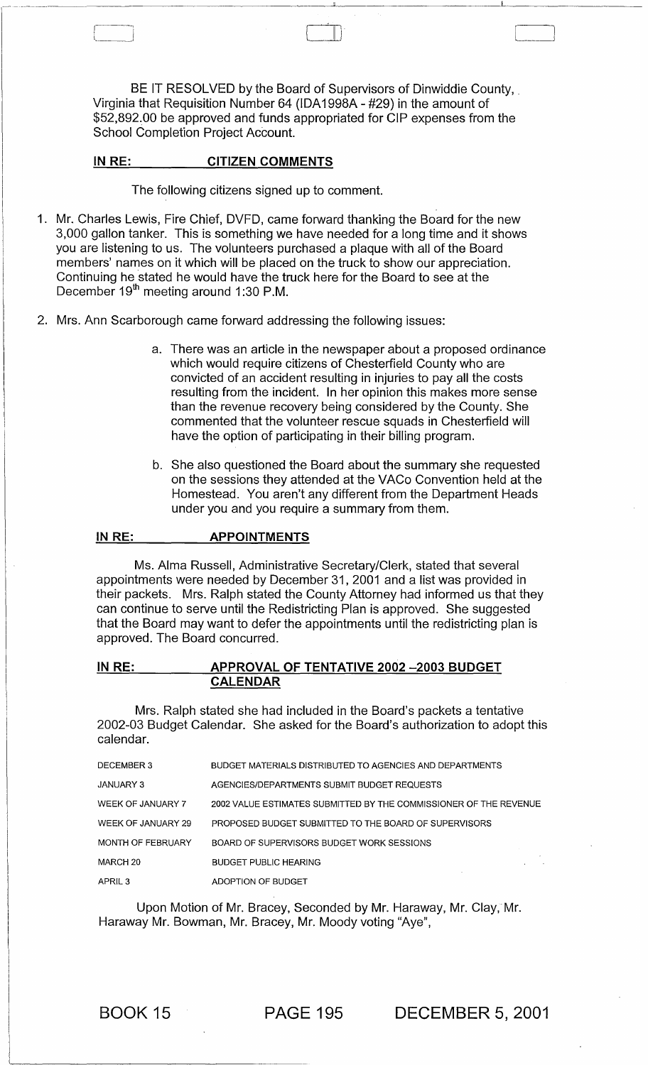BE IT RESOLVED by the Board of Supervisors of Dinwiddie County, Virginia that Requisition Number 64 (IDA 1998A - #29) in the amount of \$52,892.00 be approved and funds appropriated for CIP expenses from the School Completion Project Account.

#### IN RE: CITIZEN COMMENTS

1 \_\_ - II)

The following citizens signed up to comment.

- 1. Mr. Charles Lewis, Fire Chief, DVFD, came forward thanking the Board for the new 3,000 gallon tanker. This is something we have needed for a long time and it shows you are listening to us. The volunteers purchased a plaque with all of the Board members' names on it which will be placed on the truck to show our appreciation. Continuing he stated he would have the truck here for the Board to see at the December 19<sup>th</sup> meeting around 1:30 P.M.
- 2. Mrs. Ann Scarborough came forward addressing the following issues:
	- a. There was an article in the newspaper about a proposed ordinance which would require citizens of Chesterfield County who are convicted of an accident resulting in injuries to pay all the costs resulting from the incident. In her opinion this makes more sense than the revenue recovery being considered by the County. She commented that the volunteer rescue squads in Chesterfield will have the option of participating in their billing program.
	- b. She also questioned the Board about the summary she requested on the sessions they attended at the VACo Convention held at the Homestead. You aren't any different from the Department Heads under you and you require a summary from them.

#### IN RE: APPOINTMENTS

Ms. Alma Russell, Administrative Secretary/Clerk, stated that several appointments were needed by December 31,2001 and a list was provided in their packets. Mrs. Ralph stated the County Attorney had informed us that they can continue to serve until the Redistricting Plan is approved. She suggested that the Board may want to defer the appointments until the redistricting plan is approved. The Board concurred.

### IN RE: APPROVAL OF TENTATIVE 2002 - 2003 BUDGET CALENDAR

Mrs. Ralph stated she had included in the Board's packets a tentative 2002-03 Budget Calendar. She asked for the Board's authorization to adopt this calendar.

| DECEMBER 3         | BUDGET MATERIALS DISTRIBUTED TO AGENCIES AND DEPARTMENTS          |
|--------------------|-------------------------------------------------------------------|
| <b>JANUARY 3</b>   | AGENCIES/DEPARTMENTS SUBMIT BUDGET REQUESTS                       |
| WEEK OF JANUARY 7  | 2002 VALUE ESTIMATES SUBMITTED BY THE COMMISSIONER OF THE REVENUE |
| WEEK OF JANUARY 29 | PROPOSED BUDGET SUBMITTED TO THE BOARD OF SUPERVISORS             |
| MONTH OF FEBRUARY  | BOARD OF SUPERVISORS BUDGET WORK SESSIONS                         |
| MARCH 20           | <b>BUDGET PUBLIC HEARING</b>                                      |
| APRIL <sub>3</sub> | ADOPTION OF BUDGET                                                |

Upon Motion of Mr. Bracey, Seconded by Mr. Haraway, Mr. Clay, Mr. Haraway Mr. Bowman, Mr. Bracey, Mr. Moody voting "Aye",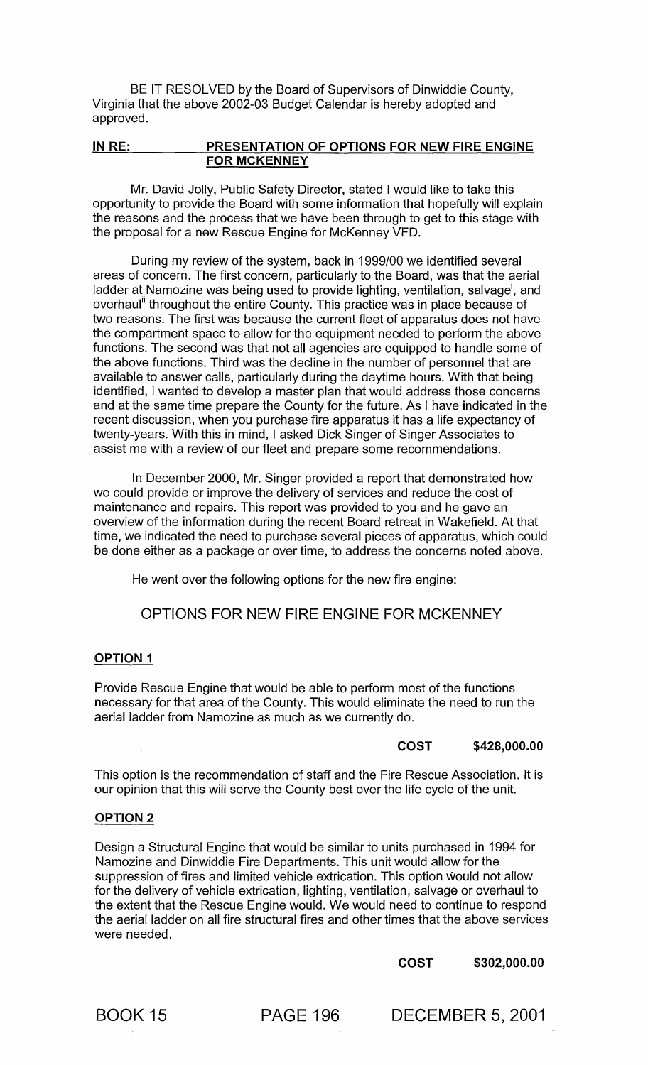BE IT RESOLVED by the Board of Supervisors of Dinwiddie County, Virginia that the above 2002-03 Budget Calendar is hereby adopted and approved.

## IN RE: PRESENTATION OF OPTIONS FOR NEW FIRE ENGINE FOR MCKENNEY

Mr. David Jolly, Public Safety Director, stated I would like to take this opportunity to provide the Board with some information that hopefully will explain the reasons and the process that we have been through to get to this stage with the proposal for a new Rescue Engine for McKenney VFD.

During my review of the system, back in 1999/00 we identified several areas of concern. The first concern, particularly to the Board, was that the aerial ladder at Namozine was being used to provide lighting, ventilation, salvage<sup>i</sup>, and overhaul<sup>ii</sup> throughout the entire County. This practice was in place because of two reasons. The first was because the current fleet of apparatus does not have the compartment space to allow for the equipment needed to perform the above functions. The second was that not all agencies are equipped to handle some of the above functions. Third was the decline in the number of personnel that are available to answer calls, particularly during the daytime hours. With that being identified, I wanted to develop a master plan that would address those concerns and at the same time prepare the County for the future. As I have indicated in the recent discussion, when you purchase fire apparatus it has a life expectancy of twenty-years. With this in mind, I asked Dick Singer of Singer Associates to assist me with a review of our fleet and prepare some recommendations.

In December 2000, Mr. Singer provided a report that demonstrated how we could provide or improve the delivery of services and reduce the cost of maintenance and repairs. This report was provided to you and he gave an overview of the information during the recent Board retreat in Wakefield. At that time, we indicated the need to purchase several pieces of apparatus, which could be done either as a package or over time, to address the concerns noted above.

He went over the following options for the new fire engine:

OPTIONS FOR NEW FIRE ENGINE FOR MCKENNEY

## OPTION 1

Provide Rescue Engine that would be able to perform most of the functions necessary for that area of the County. This would eliminate the need to run the aerial ladder from Namozine as much as we currently do.

# COST \$428,000.00

This option is the recommendation of staff and the Fire Rescue Association. It is our opinion that this will serve the County best over the life cycle of the unit.

#### OPTION 2

Design a Structural Engine that would be similar to units purchased in 1994 for Namozine and Dinwiddie Fire Departments. This unit would allow for the suppression of fires and limited vehicle extrication. This option would not allow for the delivery of vehicle extrication, lighting, ventilation, salvage or overhaul to the extent that the Rescue Engine would. We would need to continue to respond the aerial ladder on all fire structural fires and other times that the above services were needed.

COST \$302,000.00

BOOK 15 PAGE 196 DECEMBER 5, 2001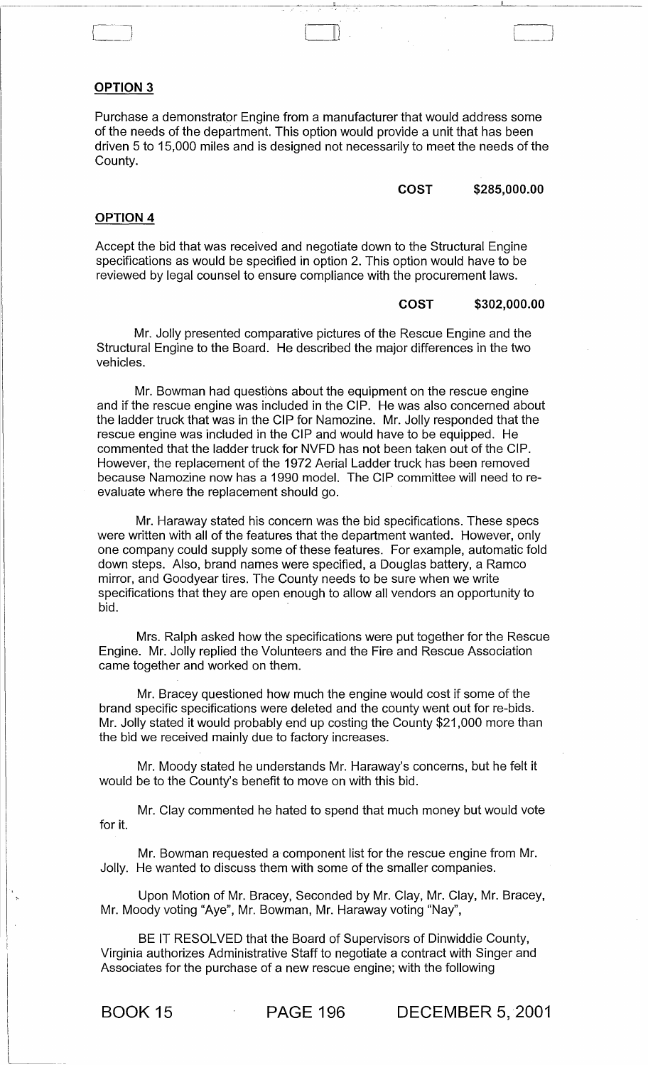## OPTION 3

Purchase a demonstrator Engine from a manufacturer that would address some of the needs of the department. This option would provide a unit that has been driven 5 to 15,000 miles and is designed not necessarily to meet the needs of the County.

#### COST \$285,000.00

~--~----.-\_\_ ~\_~\_I\_~\_~ \_\_ -----

 $\Box$ 

#### OPTION 4

Accept the bid that was received and negotiate down to the Structural Engine specifications as would be specified in option 2. This option would have to be reviewed by legal counsel to ensure compliance with the procurement laws.

#### COST \$302,000.00

Mr. Jolly presented comparative pictures of the Rescue Engine and the Structural Engine to the Board. He described the major differences in the two vehicles.

Mr. Bowman had questions about the equipment on the rescue engine and if the rescue engine was included in the CIP. He was also concerned about the ladder truck that was in the CIP for Namozine. Mr. Jolly responded that the rescue engine was included in the CIP and would have to be equipped. He commented that the ladder truck for NVFD has not been taken out of the CIP. However, the replacement of the 1972 Aerial Ladder truck has been removed because Namozine now has a 1990 model. The CIP committee will need to reevaluate where the replacement should go.

Mr. Haraway stated his concern was the bid specifications. These specs were written with all of the features that the department wanted. However, only one company could supply some of these features. For example, automatic fold down steps. Also, brand names were specified, a Douglas battery, a Ramco mirror, and Goodyear tires. The County needs to be sure when we write specifications that they are open enough to allow all vendors an opportunity to bid.

Mrs. Ralph asked how the specifications were put together for the Rescue Engine. Mr. Jolly replied the Volunteers and the Fire and Rescue Association came together and worked on them.

Mr. Bracey questioned how much the engine would cost if some of the brand specific specifications were deleted and the county went out for re-bids. Mr. Jolly stated it would probably end up costing the County \$21,000 more than the bid we received mainly due to factory increases.

Mr. Moody stated he understands Mr. Haraway's concerns, but he felt it would be to the County's benefit to move on with this bid.

Mr. Clay commented he hated to spend that much money but would vote for it.

Mr. Bowman requested a component list for the rescue engine from Mr. Jolly. He wanted to discuss them with some of the smaller companies.

Upon Motion of Mr. Bracey, Seconded by Mr. Clay, Mr. Clay, Mr. Bracey, Mr. Moody voting "Aye", Mr. Bowman, Mr. Haraway voting "Nay",

BE IT RESOLVED that the Board of Supervisors of Dinwiddie County, Virginia authorizes Administrative Staff to negotiate a contract with Singer and Associates for the purchase of a new rescue engine; with the following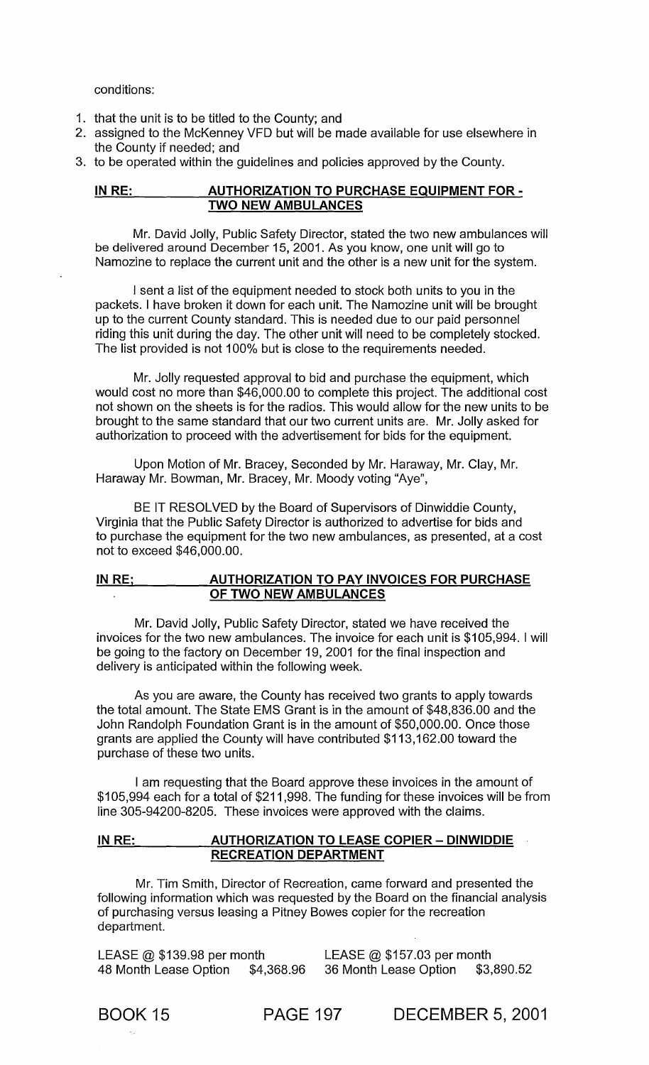conditions:

- 1. that the unit is to be titled to the County; and
- 2. assigned to the McKenney VFD but will be made available for use elsewhere in the County if needed; and
- 3. to be operated within the guidelines and policies approved by the County.

## IN RE: AUTHORIZATION TO PURCHASE EQUIPMENT FOR -TWO NEW AMBULANCES

Mr. David Jolly, Public Safety Director, stated the two new ambulances will be delivered around December 15, 2001. As you know, one unit will go to Namozine to replace the current unit and the other is a new unit for the system.

I sent a list of the equipment needed to stock both units to you in the packets. I have broken it down for each unit. The Namozine unit will be brought up to the current County standard. This is needed due to our paid personnel riding this unit during the day. The other unit will need to be completely stocked. The list provided is not 100% but is close to the requirements needed.

Mr. Jolly requested approval to bid and purchase the equipment, which would cost no more than \$46,000.00 to complete this project. The additional cost not shown on the sheets is for the radios. This would allow for the new units to be brought to the same standard that our two current units are. Mr. Jolly asked for authorization to proceed with the advertisement for bids for the equipment.

Upon Motion of Mr. Bracey, Seconded by Mr. Haraway, Mr. Clay, Mr. Haraway Mr. Bowman, Mr. Bracey, Mr. Moody voting "Aye",

BE IT RESOLVED by the Board of Supervisors of Dinwiddie County, Virginia that the Public Safety Director is authorized to advertise for bids and to purchase the equipment for the two new ambulances, as presented, at a cost not to exceed \$46,000.00.

## IN RE; \_\_\_\_\_\_\_\_\_\_ AUTHORIZATION TO PAY INVOICES FOR PURCHASE OF TWO NEW AMBULANCES

Mr. David Jolly, Public Safety Director, stated we have received the invoices for the two new ambulances. The invoice for each unit is \$105,994. I will be going to the factory on December 19,2001 for the final inspection and delivery is anticipated within the following week.

As you are aware, the County has received two grants to apply towards the total amount. The State EMS Grant is in the amount of \$48,836.00 and the John Randolph Foundation Grant is in the amount of \$50,000.00. Once those grants are applied the County will have contributed \$113,162.00 toward the purchase of these two units.

I am requesting that the Board approve these invoices in the amount of \$105,994 each for a total of \$211 ,998. The funding for these invoices will be from line 305-94200-8205. These invoices were approved with the claims.

### IN RE: AUTHORIZATION TO LEASE COPIER - DINWIDDIE RECREATION DEPARTMENT

Mr. Tim Smith, Director of Recreation, came forward and presented the following information which was requested by the Board on the financial analysis of purchasing versus leasing a Pitney Bowes copier for the recreation department.

LEASE @ \$139.98 per month LEASE @ \$157.03 per month 48 Month Lease Option \$4,368.96 36 Month Lease Option \$3,890.52

BOOK 15 PAGE 197 DECEMBER 5, 2001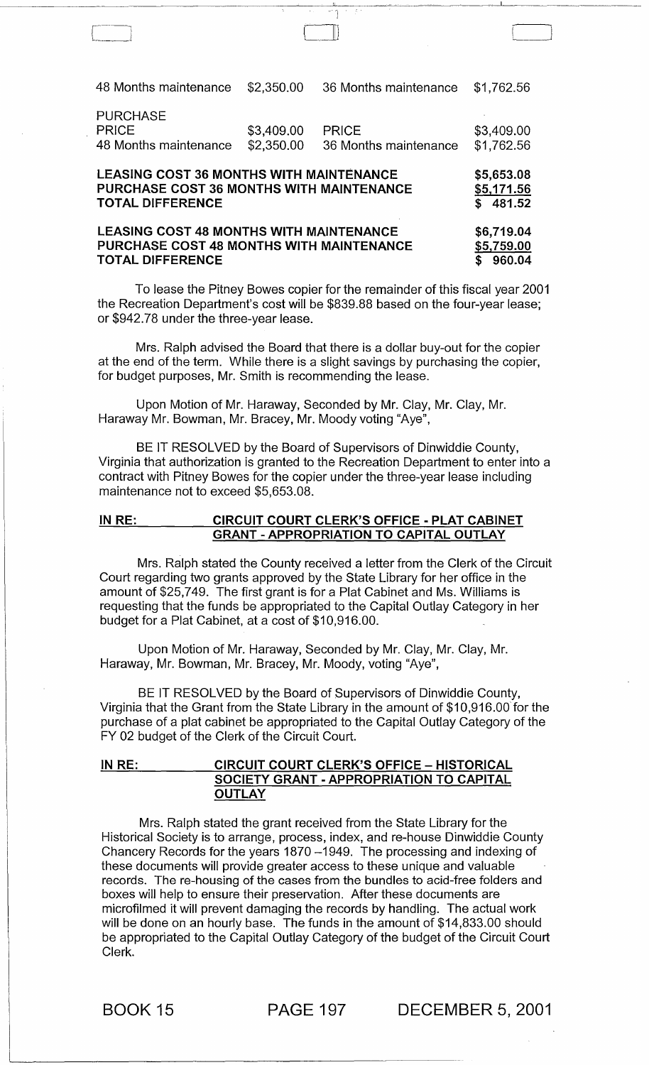48 Months maintenance \$2,350.00 36 Months maintenance \$1,762.56 PURCHASE PRICE \$3,409.00<br>48 Months maintenance \$2,350.00 48 Months maintenance PRICE \$3,409.00<br>36 Months maintenance \$1,762.56 36 Months maintenance LEASING COST 36 MONTHS WITH MAINTENANCE PURCHASE COST 36 MONTHS WITH MAINTENANCE TOTAL DIFFERENCE LEASING COST 48 MONTHS WITH MAINTENANCE PURCHASE COST 48 MONTHS WITH MAINTENANCE TOTAL DIFFERENCE \$5,653.08 \$5,171.56  $$ 481.52$ \$6,719.04 \$5,759.00  $\overline{\$}$  960.04

l~ \_\_

To lease the Pitney Bowes copier for the remainder of this fiscal year 2001 the Recreation Department's cost will be \$839.88 based on the four-year lease; or \$942.78 under the three-year lease.

Mrs. Ralph advised the Board that there is a dollar buy-out for the copier at the end of the term. While there is a slight savings by purchasing the copier, for budget purposes, Mr. Smith is recommending the lease.

Upon Motion of Mr. Haraway, Seconded by Mr. Clay, Mr. Clay, Mr. Haraway Mr. Bowman, Mr. Bracey, Mr. Moody voting "Aye",

BE IT RESOLVED by the Board of Supervisors of Dinwiddie County, Virginia that authorization is granted to the Recreation Department to enter into a contract with Pitney Bowes for the copier under the three-year lease including maintenance not to exceed \$5,653.08.

## IN RE: CIRCUIT COURT CLERK'S OFFICE - PLAT CABINET GRANT - APPROPRIATION TO CAPITAL OUTLAY

Mrs. Ralph stated the County received a letter from the Clerk of the Circuit Court regarding two grants approved by the State Library for her office in the amount of \$25,749. The first grant is for a Plat Cabinet and Ms. Williams is requesting that the funds be appropriated to the Capital Outlay Category in her budget for a Plat Cabinet, at a cost of \$10,916.00.

Upon Motion of Mr. Haraway, Seconded by Mr. Clay, Mr. Clay, Mr. Haraway, Mr. Bowman, Mr. Bracey, Mr. Moody, voting "Aye",

BE IT RESOLVED by the Board of Supervisors of Dinwiddie County, Virginia that the Grant from the State Library in the amount of \$10,916.00 for the purchase of a plat cabinet be appropriated to the Capital Outlay Category of the FY 02 budget of the Clerk of the Circuit Court.

## IN RE: CIRCUIT COURT CLERK'S OFFICE - HISTORICAL SOCIETY GRANT - APPROPRIATION TO CAPITAL **OUTLAY**

Mrs. Ralph stated the grant received from the State Library for the Historical Society is to arrange, process, index, and re-house Dinwiddie County Chancery Records for the years 1870 -1949. The processing and indexing of these documents will provide greater access to these unique and valuable records. The re-housing of the cases from the bundles to acid-free folders and boxes will help to ensure their preservation. After these documents are microfilmed it will prevent damaging the records by handling. The actual work will be done on an hourly base. The funds in the amount of \$14,833.00 should be appropriated to the Capital Outlay Category of the budget of the Circuit Court Clerk.

BOOK 15 PAGE 197 DECEMBER 5, 2001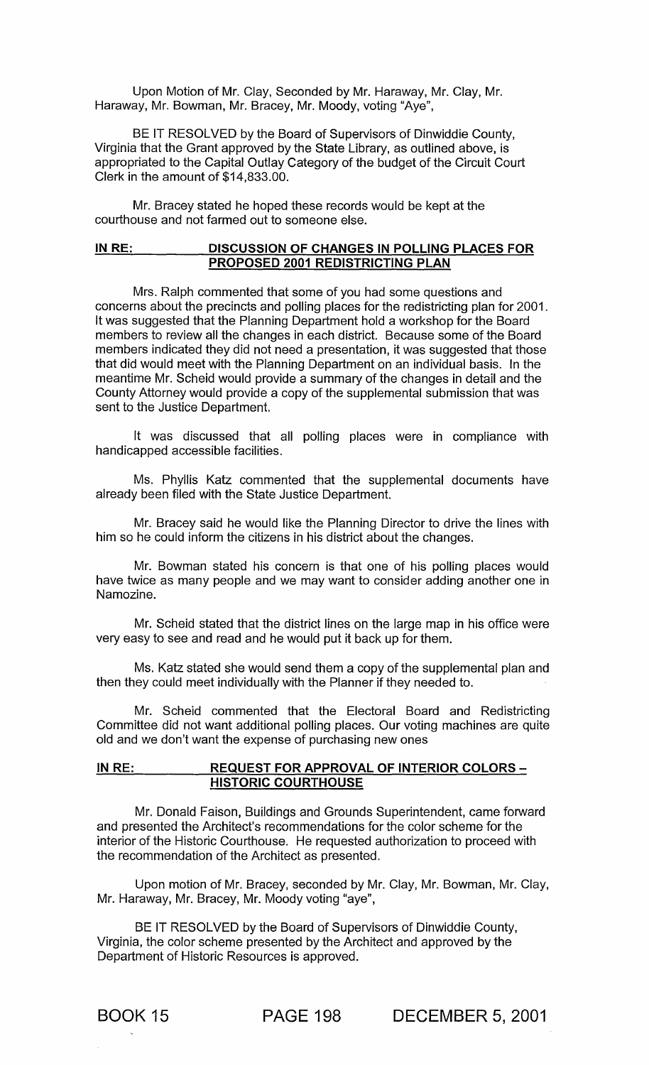Upon Motion of Mr. Clay, Seconded by Mr. Haraway, Mr. Clay, Mr. Haraway, Mr. Bowman, Mr. Bracey, Mr. Moody, voting "Aye",

BE IT RESOLVED by the Board of Supervisors of Dinwiddie County, Virginia that the Grant approved by the State Library, as outlined above, is appropriated to the Capital Outlay Category of the budget of the Circuit Court Clerk in the amount of \$14,833.00.

Mr. Bracey stated he hoped these records would be kept at the courthouse and not farmed out to someone else.

### IN RE: DISCUSSION OF CHANGES IN POLLING PLACES FOR PROPOSED 2001 REDISTRICTING PLAN

Mrs. Ralph commented that some of you had some questions and concerns about the precincts and polling places for the redistricting plan for 2001. It was suggested that the Planning Department hold a workshop for the Board members to review all the changes in each district. Because some of the Board members indicated they did not need a presentation, it was suggested that those that did would meet with the Planning Department on an individual basis. In the meantime Mr. Scheid would provide a summary of the changes in detail and the County Attorney would provide a copy of the supplemental submission that was sent to the Justice Department.

It was discussed that all polling places were in compliance with handicapped accessible facilities.

Ms. Phyllis Katz commented that the supplemental documents have already been filed with the State Justice Department.

Mr. Bracey said he would like the Planning Director to drive the lines with him so he could inform the citizens in his district about the changes.

Mr. Bowman stated his concern is that one of his polling places would have twice as many people and we may want to consider adding another one in Namozine.

Mr. Scheid stated that the district lines on the large map in his office were very easy to see and read and he would put it back up for them.

Ms. Katz stated she would send them a copy of the supplemental plan and then they could meet individually with the Planner if they needed to.

Mr. Scheid commented that the Electoral Board and Redistricting Committee did not want additional polling places. Our voting machines are quite old and we don't want the expense of purchasing new ones

## IN RE: REQUEST FOR APPROVAL OF INTERIOR COLORS -HISTORIC COURTHOUSE

Mr. Donald Faison, Buildings and Grounds Superintendent, came forward and presented the Architect's recommendations for the color scheme for the interior of the Historic Courthouse. He requested authorization to proceed with the recommendation of the Architect as presented.

Upon motion of Mr. Bracey, seconded by Mr. Clay, Mr. Bowman, Mr. Clay, Mr. Haraway, Mr. Bracey, Mr. Moody voting "aye",

BE IT RESOLVED by the Board of Supervisors of Dinwiddie County, Virginia, the color scheme presented by the Architect and approved by the Department of Historic Resources is approved.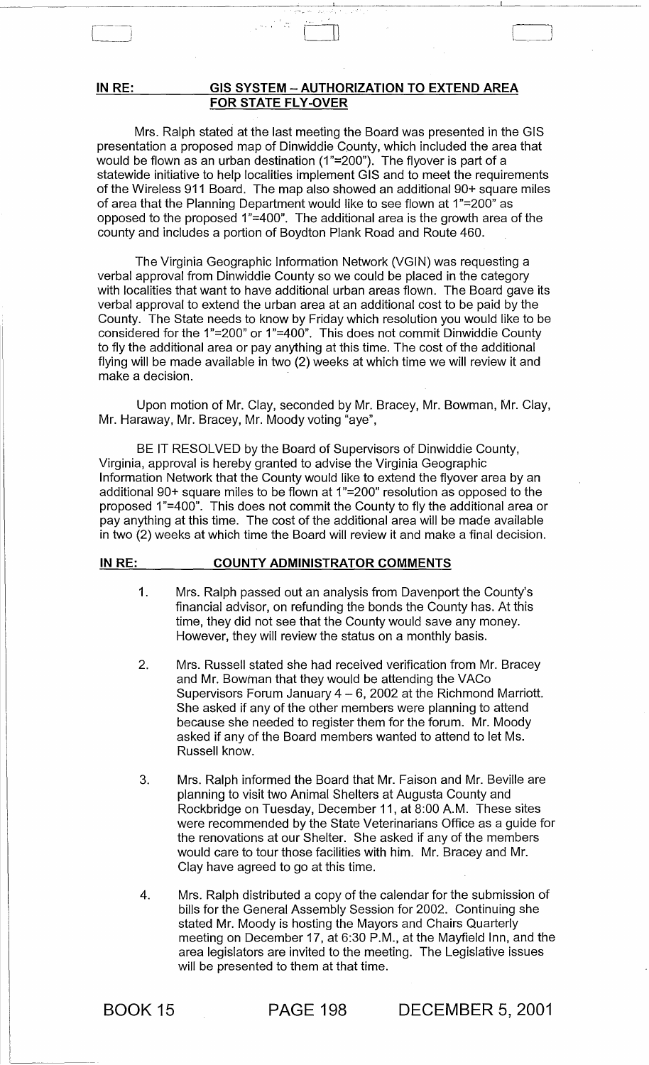## **IN RE: GIS SYSTEM - AUTHORIZATION TO EXTEND AREA FOR STATE FLY-OVER**

.~ \_\_\_\_ ~\_~. 1 \_\_\_\_\_\_\_\_ .

 $[$  r  $\Box$  r  $\Box$  r  $\Box$  r  $\Box$  r  $\Box$  r  $\Box$  r  $\Box$  r  $\Box$  r  $\Box$  r  $\Box$  r  $\Box$  r  $\Box$  r  $\Box$  r  $\Box$  r  $\Box$  r  $\Box$  r  $\Box$  r  $\Box$  r  $\Box$  r  $\Box$  r  $\Box$  r  $\Box$  r  $\Box$  r  $\Box$  r  $\Box$  r  $\Box$  r  $\Box$  r  $\Box$  r  $\Box$  r  $\Box$  r  $\Box$ 

Mrs. Ralph stated at the last meeting the Board was presented in the GIS presentation a proposed map of Dinwiddie County, which included the area that would be flown as an urban destination (1"=200"). The flyover is part of a statewide initiative to help localities implement GIS and to meet the requirements of the Wireless 911 Board. The map also showed an additional 90+ square miles of area that the Planning Department would like to see flown at 1"=200" as opposed to the proposed  $1"=400"$ . The additional area is the growth area of the county and includes a portion of Boydton Plank Road and Route 460.

The Virginia Geographic Information Network (VGIN) was requesting a verbal approval from Dinwiddie County so we could be placed in the category with localities that want to have additional urban areas flown. The Board gave its verbal approval to extend the urban area at an additional cost to be paid by the County. The State needs to know by Friday which resolution you would like to be considered for the 1"=200" or 1"=400". This does not commit Dinwiddie County to fly the additional area or pay anything at this time. The cost of the additional flying will be made available in two (2) weeks at which time we will review it and make a decision.

Upon motion of Mr. Clay, seconded by Mr. Bracey, Mr. Bowman, Mr. Clay, Mr. Haraway, Mr. Bracey, Mr. Moody voting "aye",

BE IT RESOLVED by the Board of Supervisors of Dinwiddie County, Virginia, approval is hereby granted to advise the Virginia Geographic Information Network that the County would like to extend the flyover area by an additional 90+ square miles to be flown at 1"=200" resolution as opposed to the proposed 1"=400". This does not commit the County to fly the additional area or pay anything at this time. The cost of the additional area will be made available in two (2) weeks at which time the Board will review it and make a final decision.

#### **IN RE: COUNTY ADMINISTRATOR COMMENTS**

- 1. Mrs. Ralph passed out an analysis from Davenport the County's financial advisor, on refunding the bonds the County has. At this time, they did not see that the County would save any money. However, they will review the status on a monthly basis.
- 2. Mrs. Russell stated she had received verification from Mr. Bracey and Mr. Bowman that they would be attending the VACo Supervisors Forum January  $4 - 6$ , 2002 at the Richmond Marriott. She asked if any of the other members were planning to attend because she needed to register them for the forum. Mr. Moody asked if any of the Board members wanted to attend to let Ms. Russell know.
- 3. Mrs. Ralph informed the Board that Mr. Faison and Mr. Beville are planning to visit two Animal Shelters at Augusta County and Rockbridge on Tuesday, December 11, at 8:00 A.M. These sites were recommended by the State Veterinarians Office as a guide for the renovations at our Shelter. She asked if any of the members would care to tour those facilities with him. Mr. Bracey and Mr. Clay have agreed to go at this time.
- 4. Mrs. Ralph distributed a copy of the calendar for the submission of bills for the General Assembly Session for 2002. Continuing she stated Mr. Moody is hosting the Mayors and Chairs Quarterly meeting on December 17, at 6:30 P.M., at the Mayfield Inn, and the area legislators are invited to the meeting. The Legislative issues will be presented to them at that time.

BOOK 15

**PAGE** 198 **DECEMBER** 5, 2001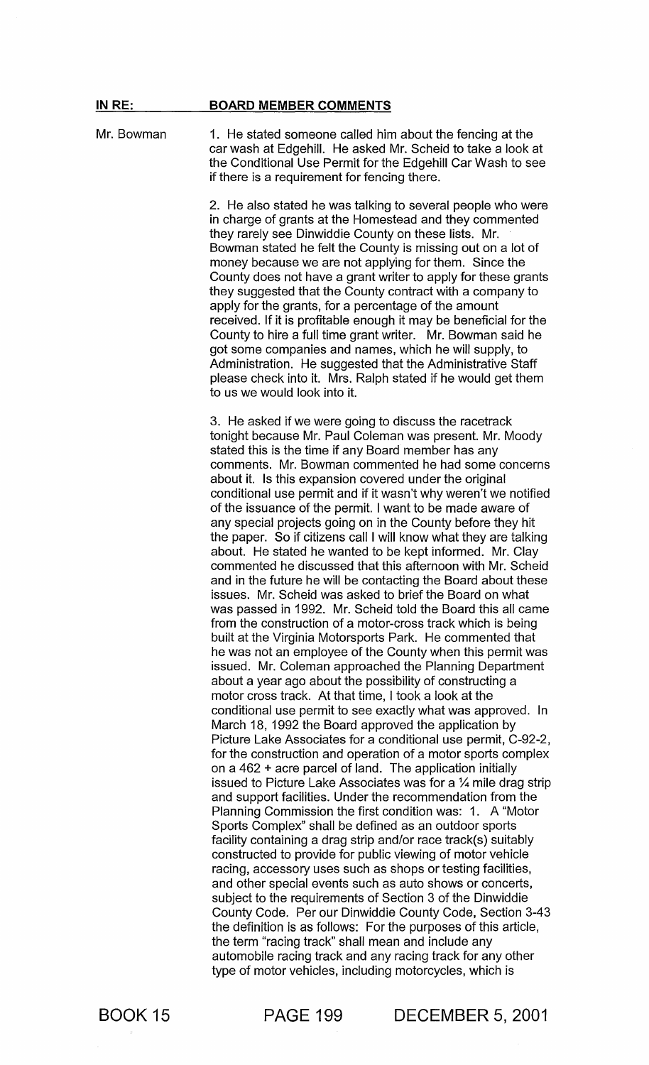#### **IN** RE: BOARD MEMBER COMMENTS

Mr. Bowman 1. He stated someone called him about the fencing at the car wash at Edgehill. He asked Mr. Scheid to take a look at the Conditional Use Permit for the Edgehill Car Wash to see if there is a requirement for fencing there.

> 2. He also stated he was talking to several people who were in charge of grants at the Homestead and they commented they rarely see Dinwiddie County on these lists. Mr. Bowman stated he felt the County is missing out on a lot of money because we are not applying for them. Since the County does not have a grant writer to apply for these grants they suggested that the County contract with a company to apply for the grants, for a percentage of the amount received. If it is profitable enough it may be beneficial for the County to hire a full time grant writer. Mr. Bowman said he got some companies and names, which he will supply, to Administration. He suggested that the Administrative Staff please check into it. Mrs. Ralph stated if he would get them to us we would look into it.

> 3. He asked if we were going to discuss the racetrack tonight because Mr. Paul Coleman was present. Mr. Moody stated this is the time if any Board member has any comments. Mr. Bowman commented he had some concerns about it. Is this expansion covered under the original conditional use permit and if it wasn't why weren't we notified of the issuance of the permit. I want to be made aware of any special projects going on in the County before they hit the paper. So if citizens call I will know what they are talking about. He stated he wanted to be kept informed. Mr. Clay commented he discussed that this afternoon with Mr. Scheid and in the future he will be contacting the Board about these issues. Mr. Scheid was asked to brief the Board on what was passed in 1992. Mr. Scheid told the Board this all came from the construction of a motor-cross track which is being built at the Virginia Motorsports Park. He commented that he was not an employee of the County when this permit was issued. Mr. Coleman approached the Planning Department about a year ago about the possibility of constructing a motor cross track. At that time, I took a look at the conditional use permit to see exactly what was approved. In March 18, 1992 the Board approved the application by Picture Lake Associates for a conditional use permit, C-92-2, for the construction and operation of a motor sports complex on a 462 + acre parcel of land. The application initially issued to Picture Lake Associates was for a  $\frac{1}{4}$  mile drag strip and support facilities. Under the recommendation from the Planning Commission the first condition was: 1. A "Motor Sports Complex" shall be defined as an outdoor sports facility containing a drag strip and/or race track(s) suitably constructed to provide for public viewing of motor vehicle racing, accessory uses such as shops or testing facilities, and other special events such as auto shows or concerts, subject to the requirements of Section 3 of the Dinwiddie County Code. Per our Dinwiddie County Code, Section 3-43 the definition is as follows: For the purposes of this article, the term "racing track" shall mean and include any automobile racing track and any racing track for any other type of motor vehicles, including motorcycles, which is

BOOK 15

PAGE 199 DECEMBER 5, 2001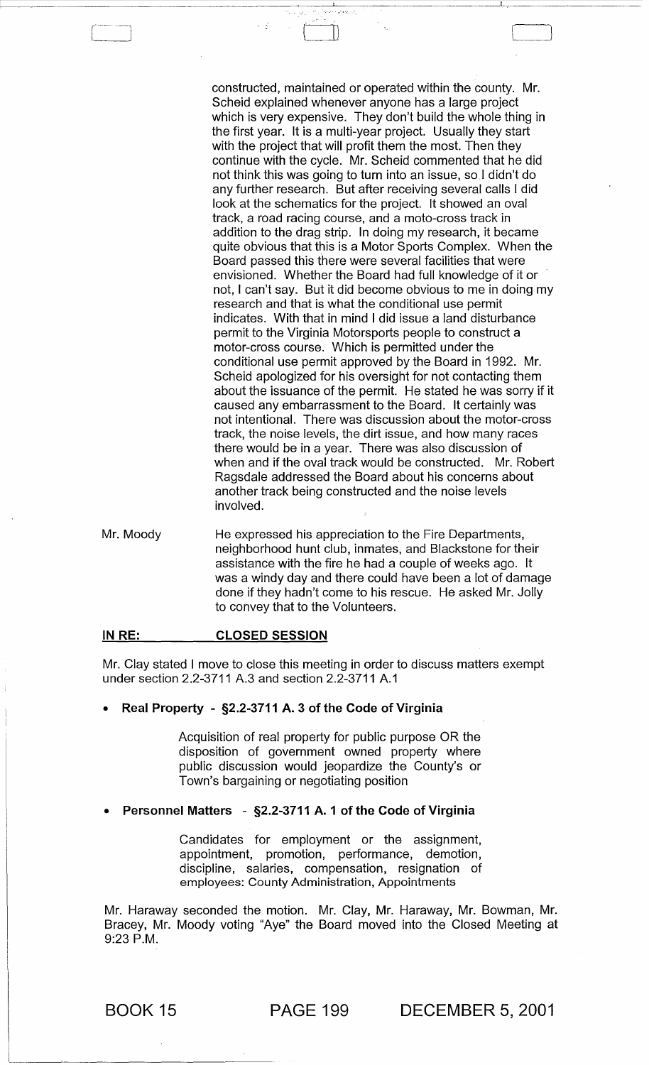constructed, maintained or operated within the county. Mr. Scheid explained whenever anyone has a large project which is very expensive. They don't build the whole thing in the first year. It is a multi-year project. Usually they start with the project that will profit them the most. Then they continue with the cycle. Mr. Scheid commented that he did not think this was going to turn into an issue, so I didn't do any further research. But after receiving several calls I did look at the schematics for the project. It showed an oval track, a road racing course, and a moto-cross track in addition to the drag strip. In doing my research, it became quite obvious that this is a Motor Sports Complex. When the Board passed this there were several facilities that were envisioned. Whether the Board had full knowledge of it or not, I can't say. But it did become obvious to me in doing my research and that is what the conditional use permit indicates. With that in mind I did issue a land disturbance permit to the Virginia Motorsports people to construct a motor-cross course. Which is permitted under the conditional use permit approved by the Board in 1992. Mr. Scheid apologized for his oversight for not contacting them about the issuance of the permit. He stated he was sorry if it caused any embarrassment to the Board. It certainly was not intentional. There was discussion about the motor-cross track, the noise levels, the dirt issue, and how many races there would be in a year. There was also discussion of when and if the oval track would be constructed. Mr. Robert Ragsdale addressed the Board about his concerns about another track being constructed and the noise levels involved.

Mr. Moody He expressed his appreciation to the Fire Departments, neighborhood hunt club, inmates, and Blackstone for their assistance with the fire he had a couple of weeks ago. It was a windy day and there could have been a lot of damage done if they hadn't come to his rescue. He asked Mr. Jolly to convey that to the Volunteers.

[-Ill

#### IN RE: CLOSED SESSION

Mr. Clay stated I move to close this meeting in order to discuss matters exempt under section 2.2-3711 A.3 and section 2.2-3711 A.1

#### • Real Property - §2.2-3711 A. 3 of the Code of Virginia

Acquisition of real property for public purpose OR the disposition of government owned property where public discussion would jeopardize the County's or Town's bargaining or negotiating position

#### • Personnel Matters - §2.2-3711 A. 1 of the Code of Virginia

Candidates for employment or the assignment, appointment, promotion, performance, demotion, discipline, salaries, compensation, resignation of employees: County Administration, Appointments

Mr. Haraway seconded the motion. Mr. Clay, Mr. Haraway, Mr. Bowman, Mr. Bracey, Mr. Moody voting "Aye" the Board moved into the Closed Meeting at 9:23 P.M.

BOOK 15 PAGE 199 DECEMBER 5, 2001